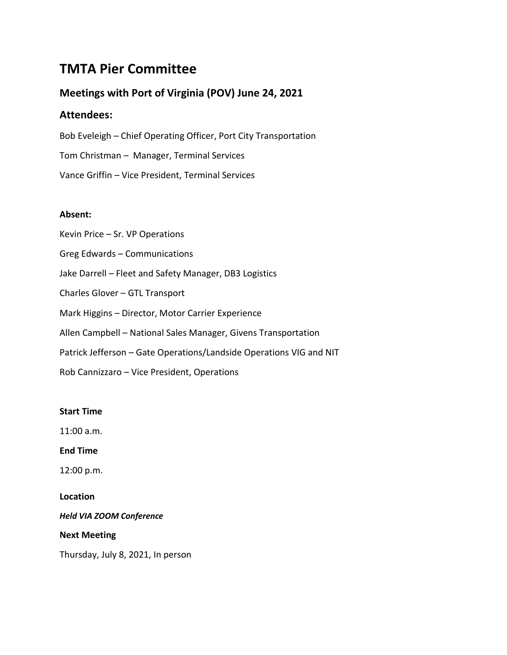# **TMTA Pier Committee**

# **Meetings with Port of Virginia (POV) June 24, 2021**

# **Attendees:**

Bob Eveleigh – Chief Operating Officer, Port City Transportation Tom Christman – Manager, Terminal Services Vance Griffin – Vice President, Terminal Services

# **Absent:**

Kevin Price – Sr. VP Operations Greg Edwards – Communications Jake Darrell – Fleet and Safety Manager, DB3 Logistics Charles Glover – GTL Transport Mark Higgins – Director, Motor Carrier Experience Allen Campbell – National Sales Manager, Givens Transportation Patrick Jefferson – Gate Operations/Landside Operations VIG and NIT Rob Cannizzaro – Vice President, Operations

# **Start Time**

11:00 a.m.

**End Time**

12:00 p.m.

**Location**

*Held VIA ZOOM Conference*

**Next Meeting**

Thursday, July 8, 2021, In person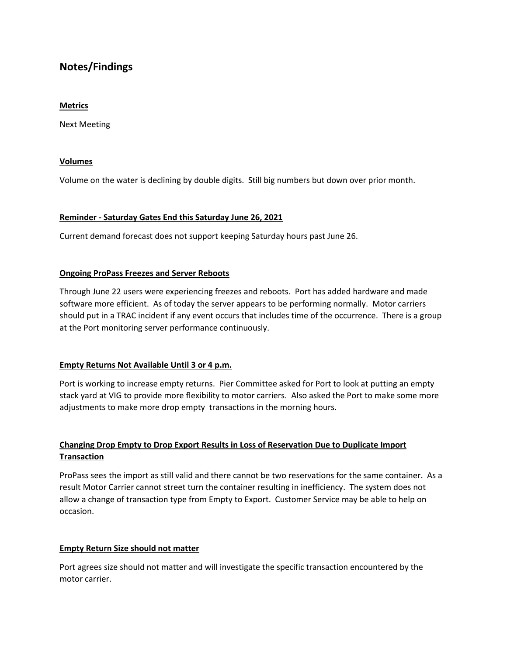# **Notes/Findings**

# **Metrics**

Next Meeting

# **Volumes**

Volume on the water is declining by double digits. Still big numbers but down over prior month.

# **Reminder - Saturday Gates End this Saturday June 26, 2021**

Current demand forecast does not support keeping Saturday hours past June 26.

# **Ongoing ProPass Freezes and Server Reboots**

Through June 22 users were experiencing freezes and reboots. Port has added hardware and made software more efficient. As of today the server appears to be performing normally. Motor carriers should put in a TRAC incident if any event occurs that includes time of the occurrence. There is a group at the Port monitoring server performance continuously.

# **Empty Returns Not Available Until 3 or 4 p.m.**

Port is working to increase empty returns. Pier Committee asked for Port to look at putting an empty stack yard at VIG to provide more flexibility to motor carriers. Also asked the Port to make some more adjustments to make more drop empty transactions in the morning hours.

# **Changing Drop Empty to Drop Export Results in Loss of Reservation Due to Duplicate Import Transaction**

ProPass sees the import as still valid and there cannot be two reservations for the same container. As a result Motor Carrier cannot street turn the container resulting in inefficiency. The system does not allow a change of transaction type from Empty to Export. Customer Service may be able to help on occasion.

# **Empty Return Size should not matter**

Port agrees size should not matter and will investigate the specific transaction encountered by the motor carrier.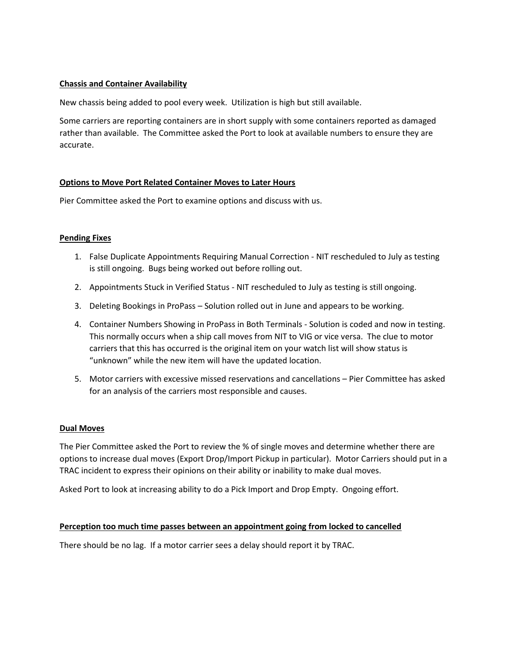# **Chassis and Container Availability**

New chassis being added to pool every week. Utilization is high but still available.

Some carriers are reporting containers are in short supply with some containers reported as damaged rather than available. The Committee asked the Port to look at available numbers to ensure they are accurate.

#### **Options to Move Port Related Container Moves to Later Hours**

Pier Committee asked the Port to examine options and discuss with us.

#### **Pending Fixes**

- 1. False Duplicate Appointments Requiring Manual Correction NIT rescheduled to July as testing is still ongoing. Bugs being worked out before rolling out.
- 2. Appointments Stuck in Verified Status NIT rescheduled to July as testing is still ongoing.
- 3. Deleting Bookings in ProPass Solution rolled out in June and appears to be working.
- 4. Container Numbers Showing in ProPass in Both Terminals Solution is coded and now in testing. This normally occurs when a ship call moves from NIT to VIG or vice versa. The clue to motor carriers that this has occurred is the original item on your watch list will show status is "unknown" while the new item will have the updated location.
- 5. Motor carriers with excessive missed reservations and cancellations Pier Committee has asked for an analysis of the carriers most responsible and causes.

#### **Dual Moves**

The Pier Committee asked the Port to review the % of single moves and determine whether there are options to increase dual moves (Export Drop/Import Pickup in particular). Motor Carriers should put in a TRAC incident to express their opinions on their ability or inability to make dual moves.

Asked Port to look at increasing ability to do a Pick Import and Drop Empty. Ongoing effort.

#### **Perception too much time passes between an appointment going from locked to cancelled**

There should be no lag. If a motor carrier sees a delay should report it by TRAC.